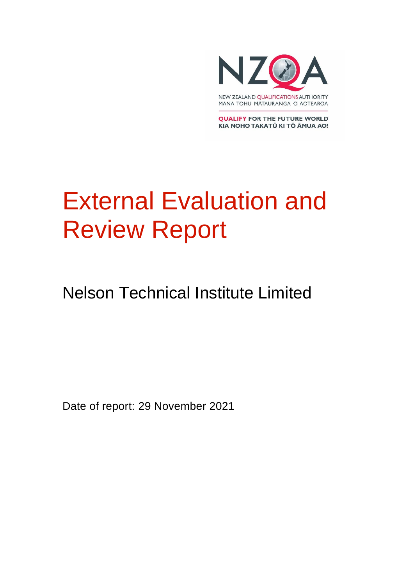

**QUALIFY FOR THE FUTURE WORLD** KIA NOHO TAKATŪ KI TŌ ĀMUA AO!

# External Evaluation and Review Report

### Nelson Technical Institute Limited

Date of report: 29 November 2021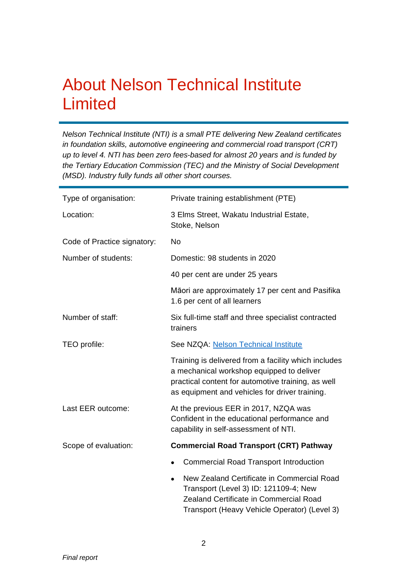### About Nelson Technical Institute Limited

*Nelson Technical Institute (NTI) is a small PTE delivering New Zealand certificates in foundation skills, automotive engineering and commercial road transport (CRT) up to level 4. NTI has been zero fees-based for almost 20 years and is funded by the Tertiary Education Commission (TEC) and the Ministry of Social Development (MSD). Industry fully funds all other short courses.*

| Type of organisation:       | Private training establishment (PTE)                                                                                                                                                                      |
|-----------------------------|-----------------------------------------------------------------------------------------------------------------------------------------------------------------------------------------------------------|
| Location:                   | 3 Elms Street, Wakatu Industrial Estate,<br>Stoke, Nelson                                                                                                                                                 |
| Code of Practice signatory: | <b>No</b>                                                                                                                                                                                                 |
| Number of students:         | Domestic: 98 students in 2020                                                                                                                                                                             |
|                             | 40 per cent are under 25 years                                                                                                                                                                            |
|                             | Māori are approximately 17 per cent and Pasifika<br>1.6 per cent of all learners                                                                                                                          |
| Number of staff:            | Six full-time staff and three specialist contracted<br>trainers                                                                                                                                           |
| TEO profile:                | See NZQA: Nelson Technical Institute                                                                                                                                                                      |
|                             | Training is delivered from a facility which includes<br>a mechanical workshop equipped to deliver<br>practical content for automotive training, as well<br>as equipment and vehicles for driver training. |
| Last EER outcome:           | At the previous EER in 2017, NZQA was<br>Confident in the educational performance and<br>capability in self-assessment of NTI.                                                                            |
| Scope of evaluation:        | <b>Commercial Road Transport (CRT) Pathway</b>                                                                                                                                                            |
|                             | <b>Commercial Road Transport Introduction</b><br>$\bullet$                                                                                                                                                |
|                             | New Zealand Certificate in Commercial Road<br>$\bullet$<br>Transport (Level 3) ID: 121109-4; New<br>Zealand Certificate in Commercial Road<br>Transport (Heavy Vehicle Operator) (Level 3)                |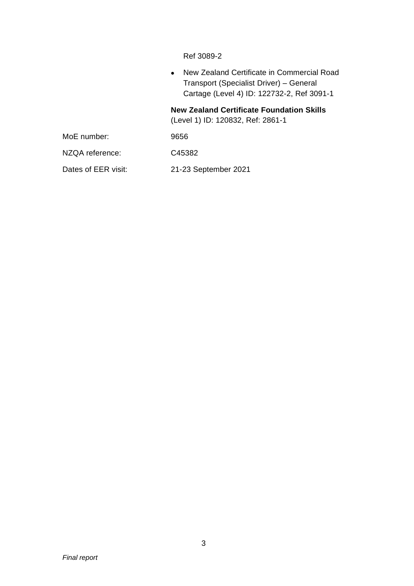Ref 3089-2

• New Zealand Certificate in Commercial Road Transport (Specialist Driver) – General Cartage (Level 4) ID: 122732-2, Ref 3091-1

#### **New Zealand Certificate Foundation Skills**

(Level 1) ID: 120832, Ref: 2861-1

| MoE number: | 9656 |
|-------------|------|
|             |      |

NZQA reference: C45382

Dates of EER visit: 21-23 September 2021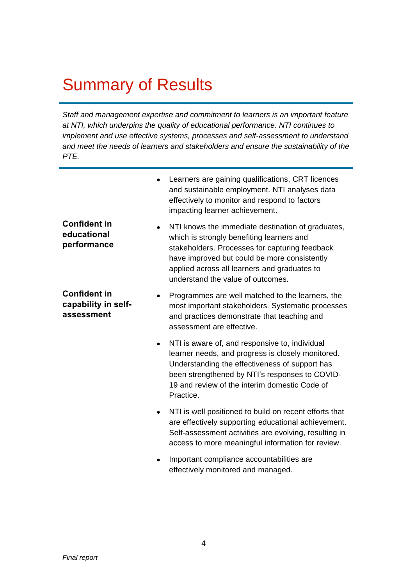### Summary of Results

*Staff and management expertise and commitment to learners is an important feature at NTI, which underpins the quality of educational performance. NTI continues to implement and use effective systems, processes and self-assessment to understand and meet the needs of learners and stakeholders and ensure the sustainability of the PTE.*

|                                                          |           | Learners are gaining qualifications, CRT licences<br>and sustainable employment. NTI analyses data<br>effectively to monitor and respond to factors<br>impacting learner achievement.                                                                                                 |
|----------------------------------------------------------|-----------|---------------------------------------------------------------------------------------------------------------------------------------------------------------------------------------------------------------------------------------------------------------------------------------|
| <b>Confident in</b><br>educational<br>performance        | $\bullet$ | NTI knows the immediate destination of graduates,<br>which is strongly benefiting learners and<br>stakeholders. Processes for capturing feedback<br>have improved but could be more consistently<br>applied across all learners and graduates to<br>understand the value of outcomes. |
| <b>Confident in</b><br>capability in self-<br>assessment |           | Programmes are well matched to the learners, the<br>most important stakeholders. Systematic processes<br>and practices demonstrate that teaching and<br>assessment are effective.                                                                                                     |
|                                                          | $\bullet$ | NTI is aware of, and responsive to, individual<br>learner needs, and progress is closely monitored.<br>Understanding the effectiveness of support has<br>been strengthened by NTI's responses to COVID-<br>19 and review of the interim domestic Code of<br>Practice.                 |
|                                                          | $\bullet$ | NTI is well positioned to build on recent efforts that<br>are effectively supporting educational achievement.<br>Self-assessment activities are evolving, resulting in<br>access to more meaningful information for review.                                                           |
|                                                          |           | Important compliance accountabilities are<br>effectively monitored and managed.                                                                                                                                                                                                       |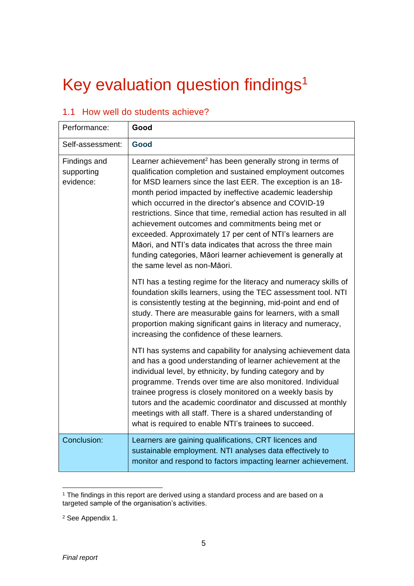# Key evaluation question findings<sup>1</sup>

| Performance:                            | Good                                                                                                                                                                                                                                                                                                                                                                                                                                                                                                                                                                                                                                                                             |
|-----------------------------------------|----------------------------------------------------------------------------------------------------------------------------------------------------------------------------------------------------------------------------------------------------------------------------------------------------------------------------------------------------------------------------------------------------------------------------------------------------------------------------------------------------------------------------------------------------------------------------------------------------------------------------------------------------------------------------------|
| Self-assessment:                        | Good                                                                                                                                                                                                                                                                                                                                                                                                                                                                                                                                                                                                                                                                             |
| Findings and<br>supporting<br>evidence: | Learner achievement <sup>2</sup> has been generally strong in terms of<br>qualification completion and sustained employment outcomes<br>for MSD learners since the last EER. The exception is an 18-<br>month period impacted by ineffective academic leadership<br>which occurred in the director's absence and COVID-19<br>restrictions. Since that time, remedial action has resulted in all<br>achievement outcomes and commitments being met or<br>exceeded. Approximately 17 per cent of NTI's learners are<br>Māori, and NTI's data indicates that across the three main<br>funding categories, Māori learner achievement is generally at<br>the same level as non-Māori. |
|                                         | NTI has a testing regime for the literacy and numeracy skills of<br>foundation skills learners, using the TEC assessment tool. NTI<br>is consistently testing at the beginning, mid-point and end of<br>study. There are measurable gains for learners, with a small<br>proportion making significant gains in literacy and numeracy,<br>increasing the confidence of these learners.                                                                                                                                                                                                                                                                                            |
|                                         | NTI has systems and capability for analysing achievement data<br>and has a good understanding of learner achievement at the<br>individual level, by ethnicity, by funding category and by<br>programme. Trends over time are also monitored. Individual<br>trainee progress is closely monitored on a weekly basis by<br>tutors and the academic coordinator and discussed at monthly<br>meetings with all staff. There is a shared understanding of<br>what is required to enable NTI's trainees to succeed.                                                                                                                                                                    |
| Conclusion:                             | Learners are gaining qualifications, CRT licences and<br>sustainable employment. NTI analyses data effectively to<br>monitor and respond to factors impacting learner achievement.                                                                                                                                                                                                                                                                                                                                                                                                                                                                                               |

#### 1.1 How well do students achieve?

<sup>&</sup>lt;sup>1</sup> The findings in this report are derived using a standard process and are based on a targeted sample of the organisation's activities.

<sup>2</sup> See Appendix 1.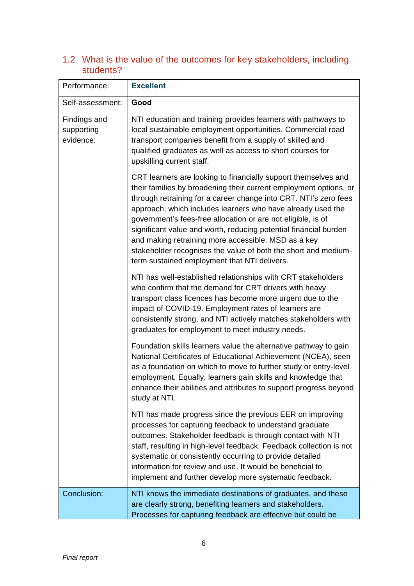#### 1.2 What is the value of the outcomes for key stakeholders, including students?

| Performance:                            | <b>Excellent</b>                                                                                                                                                                                                                                                                                                                                                                                                                                                                                                                                                                    |
|-----------------------------------------|-------------------------------------------------------------------------------------------------------------------------------------------------------------------------------------------------------------------------------------------------------------------------------------------------------------------------------------------------------------------------------------------------------------------------------------------------------------------------------------------------------------------------------------------------------------------------------------|
| Self-assessment:                        | Good                                                                                                                                                                                                                                                                                                                                                                                                                                                                                                                                                                                |
| Findings and<br>supporting<br>evidence: | NTI education and training provides learners with pathways to<br>local sustainable employment opportunities. Commercial road<br>transport companies benefit from a supply of skilled and<br>qualified graduates as well as access to short courses for<br>upskilling current staff.                                                                                                                                                                                                                                                                                                 |
|                                         | CRT learners are looking to financially support themselves and<br>their families by broadening their current employment options, or<br>through retraining for a career change into CRT. NTI's zero fees<br>approach, which includes learners who have already used the<br>government's fees-free allocation or are not eligible, is of<br>significant value and worth, reducing potential financial burden<br>and making retraining more accessible. MSD as a key<br>stakeholder recognises the value of both the short and medium-<br>term sustained employment that NTI delivers. |
|                                         | NTI has well-established relationships with CRT stakeholders<br>who confirm that the demand for CRT drivers with heavy<br>transport class licences has become more urgent due to the<br>impact of COVID-19. Employment rates of learners are<br>consistently strong, and NTI actively matches stakeholders with<br>graduates for employment to meet industry needs.                                                                                                                                                                                                                 |
|                                         | Foundation skills learners value the alternative pathway to gain<br>National Certificates of Educational Achievement (NCEA), seen<br>as a foundation on which to move to further study or entry-level<br>employment. Equally, learners gain skills and knowledge that<br>enhance their abilities and attributes to support progress beyond<br>study at NTI.                                                                                                                                                                                                                         |
|                                         | NTI has made progress since the previous EER on improving<br>processes for capturing feedback to understand graduate<br>outcomes. Stakeholder feedback is through contact with NTI<br>staff, resulting in high-level feedback. Feedback collection is not<br>systematic or consistently occurring to provide detailed<br>information for review and use. It would be beneficial to<br>implement and further develop more systematic feedback.                                                                                                                                       |
| Conclusion:                             | NTI knows the immediate destinations of graduates, and these<br>are clearly strong, benefiting learners and stakeholders.<br>Processes for capturing feedback are effective but could be                                                                                                                                                                                                                                                                                                                                                                                            |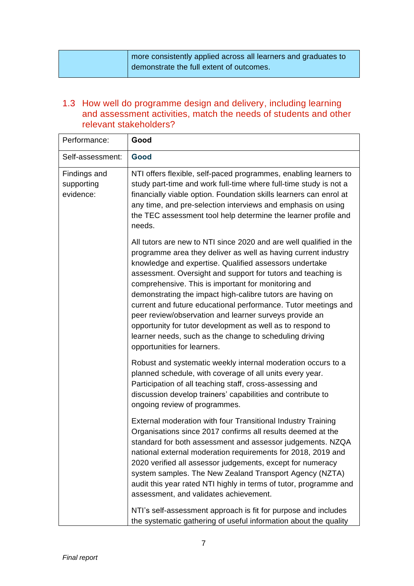| more consistently applied across all learners and graduates to |
|----------------------------------------------------------------|
| demonstrate the full extent of outcomes.                       |

#### 1.3 How well do programme design and delivery, including learning and assessment activities, match the needs of students and other relevant stakeholders?

| Performance:                            | Good                                                                                                                                                                                                                                                                                                                                                                                                                                                                                                                                                                                                                                                                    |
|-----------------------------------------|-------------------------------------------------------------------------------------------------------------------------------------------------------------------------------------------------------------------------------------------------------------------------------------------------------------------------------------------------------------------------------------------------------------------------------------------------------------------------------------------------------------------------------------------------------------------------------------------------------------------------------------------------------------------------|
| Self-assessment:                        | Good                                                                                                                                                                                                                                                                                                                                                                                                                                                                                                                                                                                                                                                                    |
| Findings and<br>supporting<br>evidence: | NTI offers flexible, self-paced programmes, enabling learners to<br>study part-time and work full-time where full-time study is not a<br>financially viable option. Foundation skills learners can enrol at<br>any time, and pre-selection interviews and emphasis on using<br>the TEC assessment tool help determine the learner profile and<br>needs.                                                                                                                                                                                                                                                                                                                 |
|                                         | All tutors are new to NTI since 2020 and are well qualified in the<br>programme area they deliver as well as having current industry<br>knowledge and expertise. Qualified assessors undertake<br>assessment. Oversight and support for tutors and teaching is<br>comprehensive. This is important for monitoring and<br>demonstrating the impact high-calibre tutors are having on<br>current and future educational performance. Tutor meetings and<br>peer review/observation and learner surveys provide an<br>opportunity for tutor development as well as to respond to<br>learner needs, such as the change to scheduling driving<br>opportunities for learners. |
|                                         | Robust and systematic weekly internal moderation occurs to a<br>planned schedule, with coverage of all units every year.<br>Participation of all teaching staff, cross-assessing and<br>discussion develop trainers' capabilities and contribute to<br>ongoing review of programmes.                                                                                                                                                                                                                                                                                                                                                                                    |
|                                         | External moderation with four Transitional Industry Training<br>Organisations since 2017 confirms all results deemed at the<br>standard for both assessment and assessor judgements. NZQA<br>national external moderation requirements for 2018, 2019 and<br>2020 verified all assessor judgements, except for numeracy<br>system samples. The New Zealand Transport Agency (NZTA)<br>audit this year rated NTI highly in terms of tutor, programme and<br>assessment, and validates achievement.                                                                                                                                                                       |
|                                         | NTI's self-assessment approach is fit for purpose and includes<br>the systematic gathering of useful information about the quality                                                                                                                                                                                                                                                                                                                                                                                                                                                                                                                                      |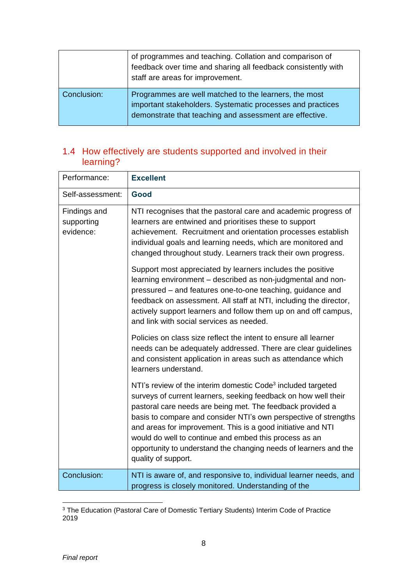|             | of programmes and teaching. Collation and comparison of<br>feedback over time and sharing all feedback consistently with<br>staff are areas for improvement.                   |
|-------------|--------------------------------------------------------------------------------------------------------------------------------------------------------------------------------|
| Conclusion: | Programmes are well matched to the learners, the most<br>important stakeholders. Systematic processes and practices<br>demonstrate that teaching and assessment are effective. |

| Performance:                            | <b>Excellent</b>                                                                                                                                                                                                                                                                                                                                                                                                                                                                                   |
|-----------------------------------------|----------------------------------------------------------------------------------------------------------------------------------------------------------------------------------------------------------------------------------------------------------------------------------------------------------------------------------------------------------------------------------------------------------------------------------------------------------------------------------------------------|
| Self-assessment:                        | Good                                                                                                                                                                                                                                                                                                                                                                                                                                                                                               |
| Findings and<br>supporting<br>evidence: | NTI recognises that the pastoral care and academic progress of<br>learners are entwined and prioritises these to support<br>achievement. Recruitment and orientation processes establish<br>individual goals and learning needs, which are monitored and<br>changed throughout study. Learners track their own progress.                                                                                                                                                                           |
|                                         | Support most appreciated by learners includes the positive<br>learning environment - described as non-judgmental and non-<br>pressured - and features one-to-one teaching, guidance and<br>feedback on assessment. All staff at NTI, including the director,<br>actively support learners and follow them up on and off campus,<br>and link with social services as needed.                                                                                                                        |
|                                         | Policies on class size reflect the intent to ensure all learner<br>needs can be adequately addressed. There are clear guidelines<br>and consistent application in areas such as attendance which<br>learners understand.                                                                                                                                                                                                                                                                           |
|                                         | NTI's review of the interim domestic Code <sup>3</sup> included targeted<br>surveys of current learners, seeking feedback on how well their<br>pastoral care needs are being met. The feedback provided a<br>basis to compare and consider NTI's own perspective of strengths<br>and areas for improvement. This is a good initiative and NTI<br>would do well to continue and embed this process as an<br>opportunity to understand the changing needs of learners and the<br>quality of support. |
| Conclusion:                             | NTI is aware of, and responsive to, individual learner needs, and<br>progress is closely monitored. Understanding of the                                                                                                                                                                                                                                                                                                                                                                           |

#### 1.4 How effectively are students supported and involved in their learning?

<sup>&</sup>lt;sup>3</sup> The Education (Pastoral Care of Domestic Tertiary Students) Interim Code of Practice 2019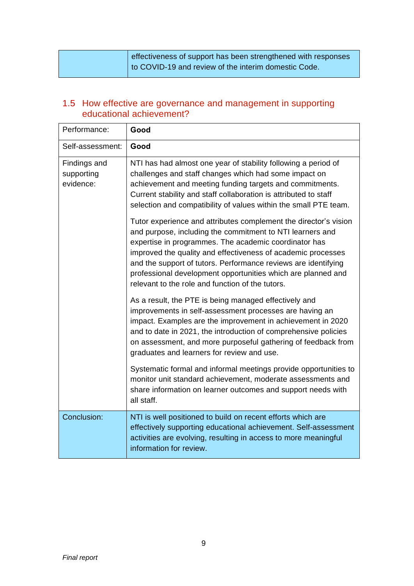| effectiveness of support has been strengthened with responses |
|---------------------------------------------------------------|
| to COVID-19 and review of the interim domestic Code.          |

#### 1.5 How effective are governance and management in supporting educational achievement?

| Performance:                            | Good                                                                                                                                                                                                                                                                                                                                                                                                                                         |
|-----------------------------------------|----------------------------------------------------------------------------------------------------------------------------------------------------------------------------------------------------------------------------------------------------------------------------------------------------------------------------------------------------------------------------------------------------------------------------------------------|
| Self-assessment:                        | Good                                                                                                                                                                                                                                                                                                                                                                                                                                         |
| Findings and<br>supporting<br>evidence: | NTI has had almost one year of stability following a period of<br>challenges and staff changes which had some impact on<br>achievement and meeting funding targets and commitments.<br>Current stability and staff collaboration is attributed to staff<br>selection and compatibility of values within the small PTE team.                                                                                                                  |
|                                         | Tutor experience and attributes complement the director's vision<br>and purpose, including the commitment to NTI learners and<br>expertise in programmes. The academic coordinator has<br>improved the quality and effectiveness of academic processes<br>and the support of tutors. Performance reviews are identifying<br>professional development opportunities which are planned and<br>relevant to the role and function of the tutors. |
|                                         | As a result, the PTE is being managed effectively and<br>improvements in self-assessment processes are having an<br>impact. Examples are the improvement in achievement in 2020<br>and to date in 2021, the introduction of comprehensive policies<br>on assessment, and more purposeful gathering of feedback from<br>graduates and learners for review and use.                                                                            |
|                                         | Systematic formal and informal meetings provide opportunities to<br>monitor unit standard achievement, moderate assessments and<br>share information on learner outcomes and support needs with<br>all staff.                                                                                                                                                                                                                                |
| Conclusion:                             | NTI is well positioned to build on recent efforts which are<br>effectively supporting educational achievement. Self-assessment<br>activities are evolving, resulting in access to more meaningful<br>information for review.                                                                                                                                                                                                                 |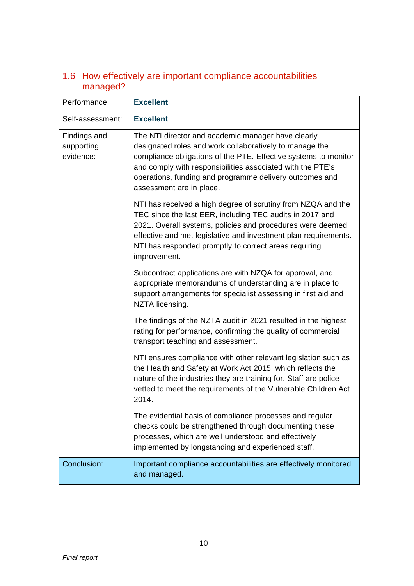| Performance:                            | <b>Excellent</b>                                                                                                                                                                                                                                                                                                                      |
|-----------------------------------------|---------------------------------------------------------------------------------------------------------------------------------------------------------------------------------------------------------------------------------------------------------------------------------------------------------------------------------------|
| Self-assessment:                        | <b>Excellent</b>                                                                                                                                                                                                                                                                                                                      |
| Findings and<br>supporting<br>evidence: | The NTI director and academic manager have clearly<br>designated roles and work collaboratively to manage the<br>compliance obligations of the PTE. Effective systems to monitor<br>and comply with responsibilities associated with the PTE's<br>operations, funding and programme delivery outcomes and<br>assessment are in place. |
|                                         | NTI has received a high degree of scrutiny from NZQA and the<br>TEC since the last EER, including TEC audits in 2017 and<br>2021. Overall systems, policies and procedures were deemed<br>effective and met legislative and investment plan requirements.<br>NTI has responded promptly to correct areas requiring<br>improvement.    |
|                                         | Subcontract applications are with NZQA for approval, and<br>appropriate memorandums of understanding are in place to<br>support arrangements for specialist assessing in first aid and<br>NZTA licensing.                                                                                                                             |
|                                         | The findings of the NZTA audit in 2021 resulted in the highest<br>rating for performance, confirming the quality of commercial<br>transport teaching and assessment.                                                                                                                                                                  |
|                                         | NTI ensures compliance with other relevant legislation such as<br>the Health and Safety at Work Act 2015, which reflects the<br>nature of the industries they are training for. Staff are police<br>vetted to meet the requirements of the Vulnerable Children Act<br>2014.                                                           |
|                                         | The evidential basis of compliance processes and regular<br>checks could be strengthened through documenting these<br>processes, which are well understood and effectively<br>implemented by longstanding and experienced staff.                                                                                                      |
| Conclusion:                             | Important compliance accountabilities are effectively monitored<br>and managed.                                                                                                                                                                                                                                                       |

#### 1.6 How effectively are important compliance accountabilities managed?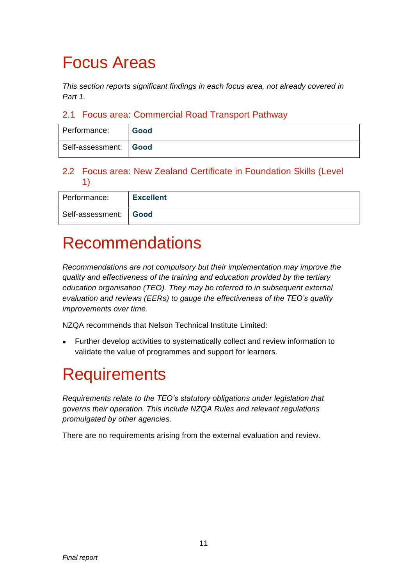# Focus Areas

*This section reports significant findings in each focus area, not already covered in Part 1.* 

#### 2.1 Focus area: Commercial Road Transport Pathway

| Performance:            | Good |
|-------------------------|------|
| Self-assessment:   Good |      |

#### 2.2 Focus area: New Zealand Certificate in Foundation Skills (Level 1)

| Performance:            | <b>Excellent</b> |
|-------------------------|------------------|
| Self-assessment:   Good |                  |

## Recommendations

*Recommendations are not compulsory but their implementation may improve the quality and effectiveness of the training and education provided by the tertiary education organisation (TEO). They may be referred to in subsequent external evaluation and reviews (EERs) to gauge the effectiveness of the TEO's quality improvements over time.*

NZQA recommends that Nelson Technical Institute Limited:

• Further develop activities to systematically collect and review information to validate the value of programmes and support for learners.

### **Requirements**

*Requirements relate to the TEO's statutory obligations under legislation that governs their operation. This include NZQA Rules and relevant regulations promulgated by other agencies.*

There are no requirements arising from the external evaluation and review.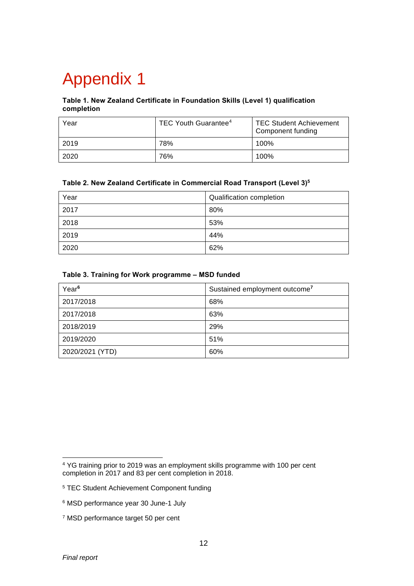# Appendix 1

#### **Table 1. New Zealand Certificate in Foundation Skills (Level 1) qualification completion**

| Year | TEC Youth Guarantee <sup>4</sup> | <b>TEC Student Achievement</b><br>Component funding |
|------|----------------------------------|-----------------------------------------------------|
| 2019 | 78%                              | 100%                                                |
| 2020 | 76%                              | 100%                                                |

#### **Table 2. New Zealand Certificate in Commercial Road Transport (Level 3) 5**

| Year | Qualification completion |
|------|--------------------------|
| 2017 | 80%                      |
| 2018 | 53%                      |
| 2019 | 44%                      |
| 2020 | 62%                      |

#### **Table 3. Training for Work programme – MSD funded**

| Year <sup>6</sup> | Sustained employment outcome <sup>7</sup> |
|-------------------|-------------------------------------------|
| 2017/2018         | 68%                                       |
| 2017/2018         | 63%                                       |
| 2018/2019         | 29%                                       |
| 2019/2020         | 51%                                       |
| 2020/2021 (YTD)   | 60%                                       |

<sup>4</sup> YG training prior to 2019 was an employment skills programme with 100 per cent completion in 2017 and 83 per cent completion in 2018.

<sup>5</sup> TEC Student Achievement Component funding

<sup>6</sup> MSD performance year 30 June-1 July

<sup>7</sup> MSD performance target 50 per cent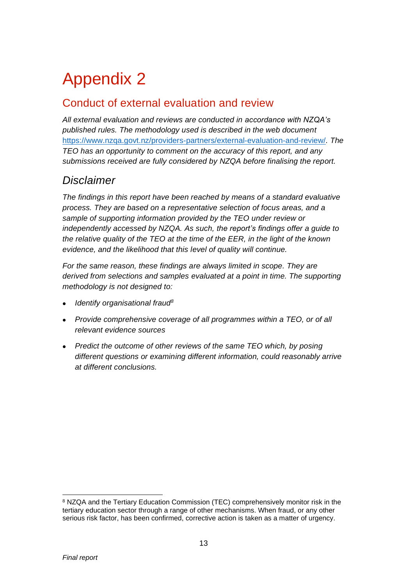# Appendix 2

#### Conduct of external evaluation and review

*All external evaluation and reviews are conducted in accordance with NZQA's published rules. The methodology used is described in the web document*  <https://www.nzqa.govt.nz/providers-partners/external-evaluation-and-review/>*. The TEO has an opportunity to comment on the accuracy of this report, and any submissions received are fully considered by NZQA before finalising the report.*

#### *Disclaimer*

*The findings in this report have been reached by means of a standard evaluative process. They are based on a representative selection of focus areas, and a sample of supporting information provided by the TEO under review or independently accessed by NZQA. As such, the report's findings offer a guide to the relative quality of the TEO at the time of the EER, in the light of the known evidence, and the likelihood that this level of quality will continue.* 

*For the same reason, these findings are always limited in scope. They are derived from selections and samples evaluated at a point in time. The supporting methodology is not designed to:*

- *Identify organisational fraud<sup>8</sup>*
- *Provide comprehensive coverage of all programmes within a TEO, or of all relevant evidence sources*
- *Predict the outcome of other reviews of the same TEO which, by posing different questions or examining different information, could reasonably arrive at different conclusions.*

<sup>8</sup> NZQA and the Tertiary Education Commission (TEC) comprehensively monitor risk in the tertiary education sector through a range of other mechanisms. When fraud, or any other serious risk factor, has been confirmed, corrective action is taken as a matter of urgency.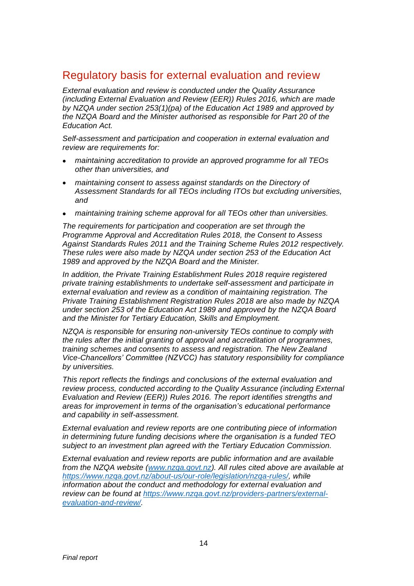#### Regulatory basis for external evaluation and review

*External evaluation and review is conducted under the Quality Assurance (including External Evaluation and Review (EER)) Rules 2016, which are made by NZQA under section 253(1)(pa) of the Education Act 1989 and approved by the NZQA Board and the Minister authorised as responsible for Part 20 of the Education Act.*

*Self-assessment and participation and cooperation in external evaluation and review are requirements for:*

- *maintaining accreditation to provide an approved programme for all TEOs other than universities, and*
- *maintaining consent to assess against standards on the Directory of Assessment Standards for all TEOs including ITOs but excluding universities, and*
- *maintaining training scheme approval for all TEOs other than universities.*

*The requirements for participation and cooperation are set through the Programme Approval and Accreditation Rules 2018, the Consent to Assess Against Standards Rules 2011 and the Training Scheme Rules 2012 respectively. These rules were also made by NZQA under section 253 of the Education Act 1989 and approved by the NZQA Board and the Minister.*

*In addition, the Private Training Establishment Rules 2018 require registered private training establishments to undertake self-assessment and participate in external evaluation and review as a condition of maintaining registration. The Private Training Establishment Registration Rules 2018 are also made by NZQA under section 253 of the Education Act 1989 and approved by the NZQA Board and the Minister for Tertiary Education, Skills and Employment.* 

*NZQA is responsible for ensuring non-university TEOs continue to comply with the rules after the initial granting of approval and accreditation of programmes, training schemes and consents to assess and registration. The New Zealand Vice-Chancellors' Committee (NZVCC) has statutory responsibility for compliance by universities.* 

*This report reflects the findings and conclusions of the external evaluation and review process, conducted according to the Quality Assurance (including External Evaluation and Review (EER)) Rules 2016. The report identifies strengths and areas for improvement in terms of the organisation's educational performance and capability in self-assessment.*

*External evaluation and review reports are one contributing piece of information in determining future funding decisions where the organisation is a funded TEO subject to an investment plan agreed with the Tertiary Education Commission.* 

*External evaluation and review reports are public information and are available from the NZQA website [\(www.nzqa.govt.nz\)](http://www.nzqa.govt.nz/). All rules cited above are available at [https://www.nzqa.govt.nz/about-us/our-role/legislation/nzqa-rules/,](https://www.nzqa.govt.nz/about-us/our-role/legislation/nzqa-rules/) while information about the conduct and methodology for external evaluation and review can be found at [https://www.nzqa.govt.nz/providers-partners/external](https://www.nzqa.govt.nz/providers-partners/external-evaluation-and-review/)[evaluation-and-review/.](https://www.nzqa.govt.nz/providers-partners/external-evaluation-and-review/)*